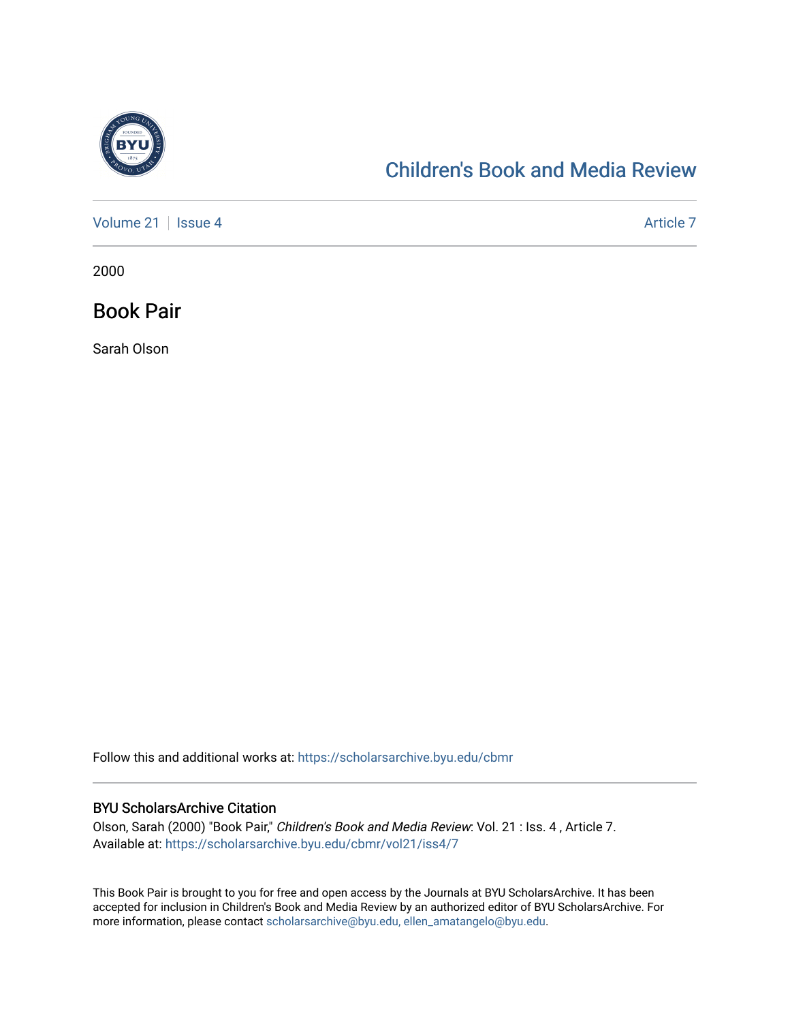

## [Children's Book and Media Review](https://scholarsarchive.byu.edu/cbmr)

[Volume 21](https://scholarsarchive.byu.edu/cbmr/vol21) | [Issue 4](https://scholarsarchive.byu.edu/cbmr/vol21/iss4) Article 7

2000

Book Pair

Sarah Olson

Follow this and additional works at: [https://scholarsarchive.byu.edu/cbmr](https://scholarsarchive.byu.edu/cbmr?utm_source=scholarsarchive.byu.edu%2Fcbmr%2Fvol21%2Fiss4%2F7&utm_medium=PDF&utm_campaign=PDFCoverPages) 

## BYU ScholarsArchive Citation

Olson, Sarah (2000) "Book Pair," Children's Book and Media Review: Vol. 21 : Iss. 4 , Article 7. Available at: [https://scholarsarchive.byu.edu/cbmr/vol21/iss4/7](https://scholarsarchive.byu.edu/cbmr/vol21/iss4/7?utm_source=scholarsarchive.byu.edu%2Fcbmr%2Fvol21%2Fiss4%2F7&utm_medium=PDF&utm_campaign=PDFCoverPages) 

This Book Pair is brought to you for free and open access by the Journals at BYU ScholarsArchive. It has been accepted for inclusion in Children's Book and Media Review by an authorized editor of BYU ScholarsArchive. For more information, please contact [scholarsarchive@byu.edu, ellen\\_amatangelo@byu.edu.](mailto:scholarsarchive@byu.edu,%20ellen_amatangelo@byu.edu)